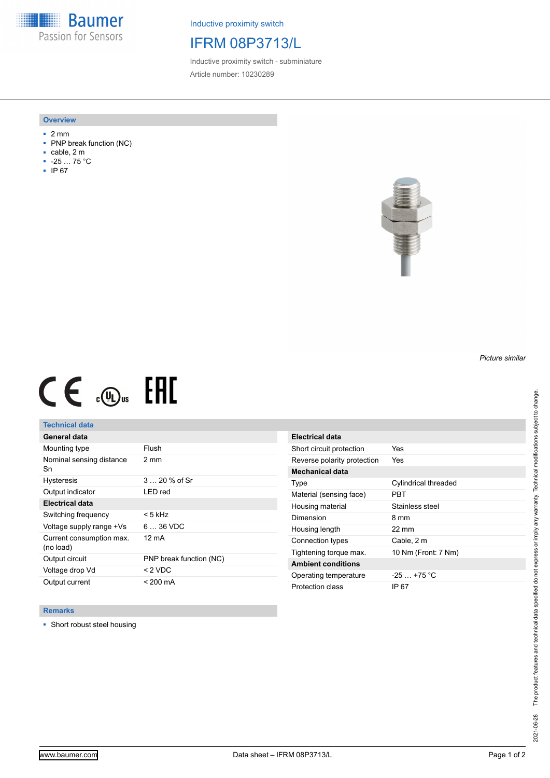**Baumer** Passion for Sensors

Inductive proximity switch

## IFRM 08P3713/L

Inductive proximity switch - subminiature Article number: 10230289

#### **Overview**

- 2 mm
- PNP break function (NC)
- cable, 2 m
- -25 … 75 °C
- IP 67



# $CE \text{ and } CH$

## **Technical data**

| General data                          |                         |
|---------------------------------------|-------------------------|
| Mounting type                         | Flush                   |
| Nominal sensing distance<br>Sn        | $2 \text{ mm}$          |
| <b>Hysteresis</b>                     | $320%$ of Sr            |
| Output indicator                      | LED red                 |
| <b>Electrical data</b>                |                         |
| Switching frequency                   | < 5 kHz                 |
| Voltage supply range +Vs              | $636$ VDC               |
| Current consumption max.<br>(no load) | 12 mA                   |
| Output circuit                        | PNP break function (NC) |
| Voltage drop Vd                       | $<$ 2 VDC               |
| Output current                        | $< 200 \text{ mA}$      |

| Electrical data             |                      |
|-----------------------------|----------------------|
| Short circuit protection    | Yes                  |
| Reverse polarity protection | Yes                  |
| Mechanical data             |                      |
| Type                        | Cylindrical threaded |
| Material (sensing face)     | PRT                  |
| Housing material            | Stainless steel      |
| Dimension                   | 8 mm                 |
| Housing length              | 22 mm                |
| Connection types            | Cable, 2 m           |
| Tightening torque max.      | 10 Nm (Front: 7 Nm)  |
| <b>Ambient conditions</b>   |                      |
| Operating temperature       | $-25$ $+75$ °C       |
| Protection class            | IP 67                |

### **Remarks**

■ Short robust steel housing

*Picture similar*